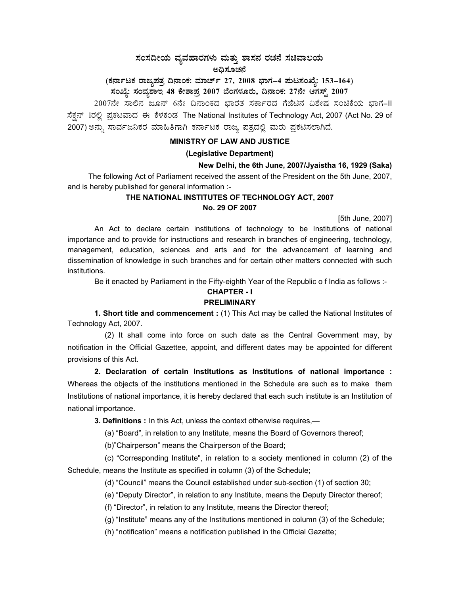# $\,$ ಸಂಸದೀಯ ವ್ಯವಹಾರಗಳು ಮತ್ತು ಶಾಸನ ರಚನೆ ಸಚಿವಾಲಯ ಅದಿಸೂಚನೆ

# (ಕರ್ನಾಟಕ ರಾಜ್ಯಪತ್ರ ದಿನಾಂಕ: ಮಾರ್ಚ್ 27, 2008 ಭಾಗ–4 **ಮಟಸಂಖ್ಯೆ: 153–164)**

ಸಂಖ್ಯೆ: ಸಂವ್ಯಶಾಇ 48 ಕೇಶಾಪ್ರ 2007 ಬೆಂಗಳೂರು, ದಿನಾಂಕ: 27ನೇ ಆಗಸ್ಟ್ 2007

2007ನೇ ಸಾಲಿನ ಜೂನ್ 6ನೇ ದಿನಾಂಕದ ಭಾರತ ಸರ್ಕಾರದ ಗೆಜೆಟಿನ ವಿಶೇಷ ಸಂಚಿಕೆಯ ಭಾಗ-II ಸೆಕ್ಷನ್ 1ರಲ್ಲಿ ಪ್ರಕಟವಾದ ಈ ಕೆಳಕಂಡ The National Institutes of Technology Act, 2007 (Act No. 29 of 2007) ಅನ್ನು ಸಾರ್ವಜನಿಕರ ಮಾಹಿತಿಗಾಗಿ ಕರ್ನಾಟಕ ರಾಜ್ಯ ಪತ್ರದಲ್ಲಿ ಮರು ಪ್ರಕಟಿಸಲಾಗಿದೆ.

### **MINISTRY OF LAW AND JUSTICE**

### **(Legislative Department)**

## **New Delhi, the 6th June, 2007/Jyaistha 16, 1929 (Saka)**

 The following Act of Parliament received the assent of the President on the 5th June, 2007, and is hereby published for general information :-

## **THE NATIONAL INSTITUTES OF TECHNOLOGY ACT, 2007 No. 29 OF 2007**

[5th June, 2007]

 An Act to declare certain institutions of technology to be Institutions of national importance and to provide for instructions and research in branches of engineering, technology, management, education, sciences and arts and for the advancement of learning and dissemination of knowledge in such branches and for certain other matters connected with such institutions.

Be it enacted by Parliament in the Fifty-eighth Year of the Republic o f India as follows :-

### **CHAPTER - I PRELIMINARY**

**1. Short title and commencement :** (1) This Act may be called the National Institutes of Technology Act, 2007.

 (2) It shall come into force on such date as the Central Government may, by notification in the Official Gazettee, appoint, and different dates may be appointed for different provisions of this Act.

**2. Declaration of certain Institutions as Institutions of national importance :** Whereas the objects of the institutions mentioned in the Schedule are such as to make them Institutions of national importance, it is hereby declared that each such institute is an Institution of national importance.

 **3. Definitions :** In this Act, unless the context otherwise requires,—

(a) "Board", in relation to any Institute, means the Board of Governors thereof;

(b)"Chairperson" means the Chairperson of the Board;

 (c) "Corresponding Institute", in relation to a society mentioned in column (2) of the Schedule, means the Institute as specified in column (3) of the Schedule;

(d) "Council" means the Council established under sub-section (1) of section 30;

(e) "Deputy Director", in relation to any Institute, means the Deputy Director thereof;

(f) "Director", in relation to any Institute, means the Director thereof;

(g) "Institute" means any of the Institutions mentioned in column (3) of the Schedule;

(h) "notification" means a notification published in the Official Gazette;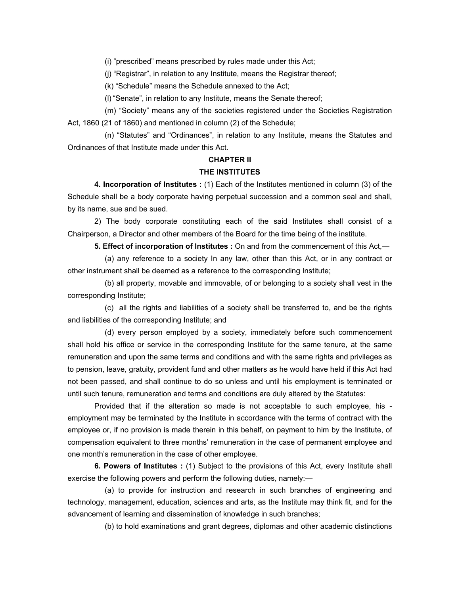(i) "prescribed" means prescribed by rules made under this Act;

(j) "Registrar", in relation to any Institute, means the Registrar thereof;

(k) "Schedule" means the Schedule annexed to the Act;

(l) "Senate", in relation to any Institute, means the Senate thereof;

 (m) "Society" means any of the societies registered under the Societies Registration Act, 1860 (21 of 1860) and mentioned in column (2) of the Schedule;

 (n) "Statutes" and "Ordinances", in relation to any Institute, means the Statutes and Ordinances of that Institute made under this Act.

## **CHAPTER II**

### **THE INSTITUTES**

 **4. Incorporation of Institutes :** (1) Each of the Institutes mentioned in column (3) of the Schedule shall be a body corporate having perpetual succession and a common seal and shall, by its name, sue and be sued.

 2) The body corporate constituting each of the said Institutes shall consist of a Chairperson, a Director and other members of the Board for the time being of the institute.

 **5. Effect of incorporation of Institutes :** On and from the commencement of this Act,—

 (a) any reference to a society In any law, other than this Act, or in any contract or other instrument shall be deemed as a reference to the corresponding Institute;

 (b) all property, movable and immovable, of or belonging to a society shall vest in the corresponding Institute;

 (c) all the rights and liabilities of a society shall be transferred to, and be the rights and liabilities of the corresponding Institute; and

 (d) every person employed by a society, immediately before such commencement shall hold his office or service in the corresponding Institute for the same tenure, at the same remuneration and upon the same terms and conditions and with the same rights and privileges as to pension, leave, gratuity, provident fund and other matters as he would have held if this Act had not been passed, and shall continue to do so unless and until his employment is terminated or until such tenure, remuneration and terms and conditions are duly altered by the Statutes:

 Provided that if the alteration so made is not acceptable to such employee, his employment may be terminated by the Institute in accordance with the terms of contract with the employee or, if no provision is made therein in this behalf, on payment to him by the Institute, of compensation equivalent to three months' remuneration in the case of permanent employee and one month's remuneration in the case of other employee.

 **6. Powers of Institutes :** (1) Subject to the provisions of this Act, every Institute shall exercise the following powers and perform the following duties, namely:—

 (a) to provide for instruction and research in such branches of engineering and technology, management, education, sciences and arts, as the Institute may think fit, and for the advancement of learning and dissemination of knowledge in such branches;

(b) to hold examinations and grant degrees, diplomas and other academic distinctions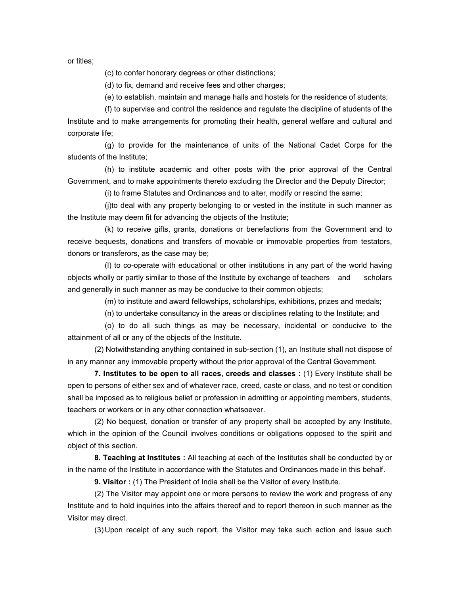or titles;

(c) to confer honorary degrees or other distinctions;

(d) to fix, demand and receive fees and other charges;

(e) to establish, maintain and manage halls and hostels for the residence of students;

 (f) to supervise and control the residence and regulate the discipline of students of the Institute and to make arrangements for promoting their health, general welfare and cultural and corporate life;

 (g) to provide for the maintenance of units of the National Cadet Corps for the students of the Institute;

 (h) to institute academic and other posts with the prior approval of the Central Government, and to make appointments thereto excluding the Director and the Deputy Director;

(i) to frame Statutes and Ordinances and to alter, modify or rescind the same;

 (j)to deal with any property belonging to or vested in the institute in such manner as the Institute may deem fit for advancing the objects of the Institute;

 (k) to receive gifts, grants, donations or benefactions from the Government and to receive bequests, donations and transfers of movable or immovable properties from testators, donors or transferors, as the case may be;

 (l) to co-operate with educational or other institutions in any part of the world having objects wholly or partly similar to those of the Institute by exchange of teachers and scholars and generally in such manner as may be conducive to their common objects;

(m) to institute and award fellowships, scholarships, exhibitions, prizes and medals;

(n) to undertake consultancy in the areas or disciplines relating to the Institute; and

 (o) to do all such things as may be necessary, incidental or conducive to the attainment of all or any of the objects of the Institute.

 (2) Notwithstanding anything contained in sub-section (1), an Institute shall not dispose of in any manner any immovable property without the prior approval of the Central Government.

 **7. Institutes to be open to all races, creeds and classes :** (1) Every Institute shall be open to persons of either sex and of whatever race, creed, caste or class, and no test or condition shall be imposed as to religious belief or profession in admitting or appointing members, students, teachers or workers or in any other connection whatsoever.

 (2) No bequest, donation or transfer of any property shall be accepted by any Institute, which in the opinion of the Council involves conditions or obligations opposed to the spirit and object of this section.

 **8. Teaching at Institutes :** All teaching at each of the Institutes shall be conducted by or in the name of the Institute in accordance with the Statutes and Ordinances made in this behalf.

 **9. Visitor :** (1) The President of India shall be the Visitor of every Institute.

 (2) The Visitor may appoint one or more persons to review the work and progress of any Institute and to hold inquiries into the affairs thereof and to report thereon in such manner as the Visitor may direct.

(3) Upon receipt of any such report, the Visitor may take such action and issue such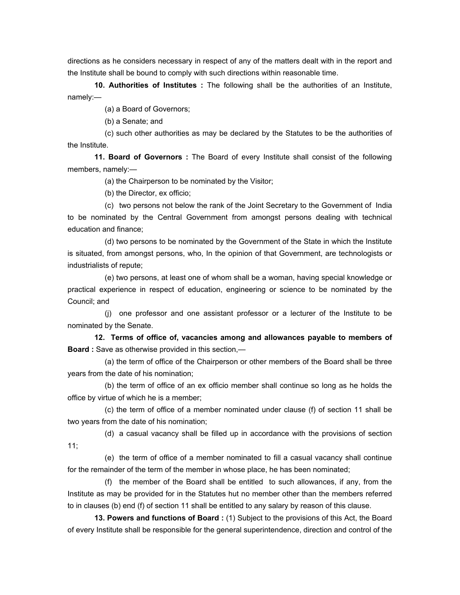directions as he considers necessary in respect of any of the matters dealt with in the report and the Institute shall be bound to comply with such directions within reasonable time.

 **10. Authorities of Institutes :** The following shall be the authorities of an Institute, namely:—

(a) a Board of Governors;

(b) a Senate; and

 (c) such other authorities as may be declared by the Statutes to be the authorities of the Institute.

 **11. Board of Governors :** The Board of every Institute shall consist of the following members, namely:—

(a) the Chairperson to be nominated by the Visitor;

(b) the Director, ex officio;

 (c) two persons not below the rank of the Joint Secretary to the Government of India to be nominated by the Central Government from amongst persons dealing with technical education and finance;

 (d) two persons to be nominated by the Government of the State in which the Institute is situated, from amongst persons, who, In the opinion of that Government, are technologists or industrialists of repute;

 (e) two persons, at least one of whom shall be a woman, having special knowledge or practical experience in respect of education, engineering or science to be nominated by the Council; and

 (j) one professor and one assistant professor or a lecturer of the Institute to be nominated by the Senate.

 **12. Terms of office of, vacancies among and allowances payable to members of Board :** Save as otherwise provided in this section,—

 (a) the term of office of the Chairperson or other members of the Board shall be three years from the date of his nomination;

 (b) the term of office of an ex officio member shall continue so long as he holds the office by virtue of which he is a member;

 (c) the term of office of a member nominated under clause (f) of section 11 shall be two years from the date of his nomination;

 (d) a casual vacancy shall be filled up in accordance with the provisions of section 11;

 (e) the term of office of a member nominated to fill a casual vacancy shall continue for the remainder of the term of the member in whose place, he has been nominated;

 (f) the member of the Board shall be entitled to such allowances, if any, from the Institute as may be provided for in the Statutes hut no member other than the members referred to in clauses (b) end (f) of section 11 shall be entitled to any salary by reason of this clause.

 **13. Powers and functions of Board :** (1) Subject to the provisions of this Act, the Board of every Institute shall be responsible for the general superintendence, direction and control of the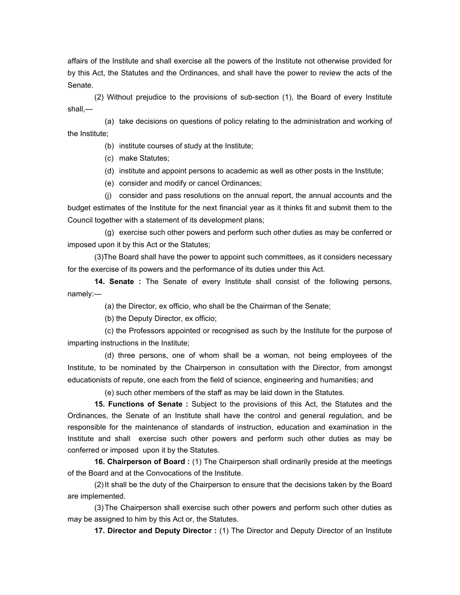affairs of the Institute and shall exercise all the powers of the Institute not otherwise provided for by this Act, the Statutes and the Ordinances, and shall have the power to review the acts of the Senate.

 (2) Without prejudice to the provisions of sub-section (1), the Board of every Institute shall,—

 (a) take decisions on questions of policy relating to the administration and working of the Institute;

(b) institute courses of study at the Institute;

(c) make Statutes;

(d) institute and appoint persons to academic as well as other posts in the Institute;

(e) consider and modify or cancel Ordinances;

 (j) consider and pass resolutions on the annual report, the annual accounts and the budget estimates of the Institute for the next financial year as it thinks fit and submit them to the Council together with a statement of its development plans;

 (g) exercise such other powers and perform such other duties as may be conferred or imposed upon it by this Act or the Statutes;

 (3)The Board shall have the power to appoint such committees, as it considers necessary for the exercise of its powers and the performance of its duties under this Act.

 **14. Senate :** The Senate of every Institute shall consist of the following persons, namely:—

(a) the Director, ex officio, who shall be the Chairman of the Senate;

(b) the Deputy Director, ex officio;

 (c) the Professors appointed or recognised as such by the Institute for the purpose of imparting instructions in the Institute;

 (d) three persons, one of whom shall be a woman, not being employees of the Institute, to be nominated by the Chairperson in consultation with the Director, from amongst educationists of repute, one each from the field of science, engineering and humanities; and

(e) such other members of the staff as may be laid down in the Statutes.

 **15. Functions of Senate :** Subject to the provisions of this Act, the Statutes and the Ordinances, the Senate of an Institute shall have the control and general regulation, and be responsible for the maintenance of standards of instruction, education and examination in the Institute and shall exercise such other powers and perform such other duties as may be conferred or imposed upon it by the Statutes.

 **16. Chairperson of Board :** (1) The Chairperson shall ordinarily preside at the meetings of the Board and at the Convocations of the Institute.

 (2) It shall be the duty of the Chairperson to ensure that the decisions taken by the Board are implemented.

 (3) The Chairperson shall exercise such other powers and perform such other duties as may be assigned to him by this Act or, the Statutes.

 **17. Director and Deputy Director :** (1) The Director and Deputy Director of an Institute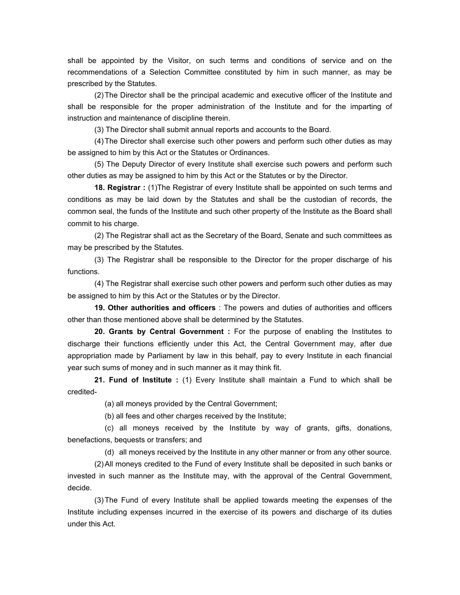shall be appointed by the Visitor, on such terms and conditions of service and on the recommendations of a Selection Committee constituted by him in such manner, as may be prescribed by the Statutes.

 (2) The Director shall be the principal academic and executive officer of the Institute and shall be responsible for the proper administration of the Institute and for the imparting of instruction and maintenance of discipline therein.

(3) The Director shall submit annual reports and accounts to the Board.

 (4) The Director shall exercise such other powers and perform such other duties as may be assigned to him by this Act or the Statutes or Ordinances.

 (5) The Deputy Director of every Institute shall exercise such powers and perform such other duties as may be assigned to him by this Act or the Statutes or by the Director.

 **18. Registrar :** (1)The Registrar of every Institute shall be appointed on such terms and conditions as may be laid down by the Statutes and shall be the custodian of records, the common seal, the funds of the Institute and such other property of the Institute as the Board shall commit to his charge.

 (2) The Registrar shall act as the Secretary of the Board, Senate and such committees as may be prescribed by the Statutes.

 (3) The Registrar shall be responsible to the Director for the proper discharge of his functions.

 (4) The Registrar shall exercise such other powers and perform such other duties as may be assigned to him by this Act or the Statutes or by the Director.

 **19. Other authorities and officers** : The powers and duties of authorities and officers other than those mentioned above shall be determined by the Statutes.

 **20. Grants by Central Government :** For the purpose of enabling the Institutes to discharge their functions efficiently under this Act, the Central Government may, after due appropriation made by Parliament by law in this behalf, pay to every Institute in each financial year such sums of money and in such manner as it may think fit.

 **21. Fund of Institute :** (1) Every Institute shall maintain a Fund to which shall be credited-

(a) all moneys provided by the Central Government;

(b) all fees and other charges received by the Institute;

 (c) all moneys received by the Institute by way of grants, gifts, donations, benefactions, bequests or transfers; and

(d) all moneys received by the Institute in any other manner or from any other source.

 (2) All moneys credited to the Fund of every Institute shall be deposited in such banks or invested in such manner as the Institute may, with the approval of the Central Government, decide.

 (3) The Fund of every Institute shall be applied towards meeting the expenses of the Institute including expenses incurred in the exercise of its powers and discharge of its duties under this Act.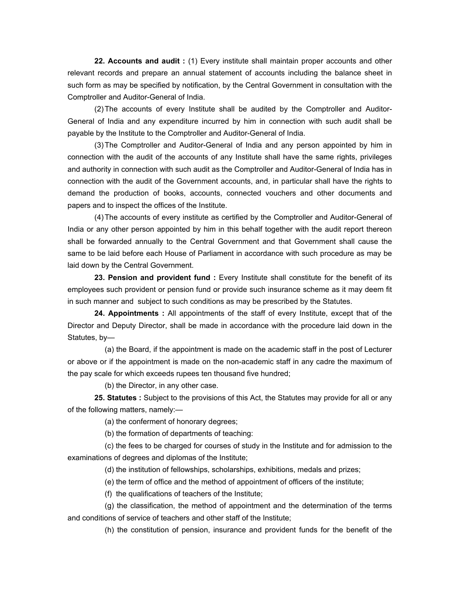**22. Accounts and audit :** (1) Every institute shall maintain proper accounts and other relevant records and prepare an annual statement of accounts including the balance sheet in such form as may be specified by notification, by the Central Government in consultation with the Comptroller and Auditor-General of India.

 (2) The accounts of every Institute shall be audited by the Comptroller and Auditor-General of India and any expenditure incurred by him in connection with such audit shall be payable by the Institute to the Comptroller and Auditor-General of India.

 (3) The Comptroller and Auditor-General of India and any person appointed by him in connection with the audit of the accounts of any Institute shall have the same rights, privileges and authority in connection with such audit as the Comptroller and Auditor-General of India has in connection with the audit of the Government accounts, and, in particular shall have the rights to demand the production of books, accounts, connected vouchers and other documents and papers and to inspect the offices of the Institute.

 (4) The accounts of every institute as certified by the Comptroller and Auditor-General of India or any other person appointed by him in this behalf together with the audit report thereon shall be forwarded annually to the Central Government and that Government shall cause the same to be laid before each House of Parliament in accordance with such procedure as may be laid down by the Central Government.

 **23. Pension and provident fund :** Every Institute shall constitute for the benefit of its employees such provident or pension fund or provide such insurance scheme as it may deem fit in such manner and subject to such conditions as may be prescribed by the Statutes.

 **24. Appointments :** All appointments of the staff of every Institute, except that of the Director and Deputy Director, shall be made in accordance with the procedure laid down in the Statutes, by—

 (a) the Board, if the appointment is made on the academic staff in the post of Lecturer or above or if the appointment is made on the non-academic staff in any cadre the maximum of the pay scale for which exceeds rupees ten thousand five hundred;

(b) the Director, in any other case.

 **25. Statutes :** Subject to the provisions of this Act, the Statutes may provide for all or any of the following matters, namely:—

(a) the conferment of honorary degrees;

(b) the formation of departments of teaching:

 (c) the fees to be charged for courses of study in the Institute and for admission to the examinations of degrees and diplomas of the Institute;

(d) the institution of fellowships, scholarships, exhibitions, medals and prizes;

(e) the term of office and the method of appointment of officers of the institute;

(f) the qualifications of teachers of the Institute;

 (g) the classification, the method of appointment and the determination of the terms and conditions of service of teachers and other staff of the Institute;

(h) the constitution of pension, insurance and provident funds for the benefit of the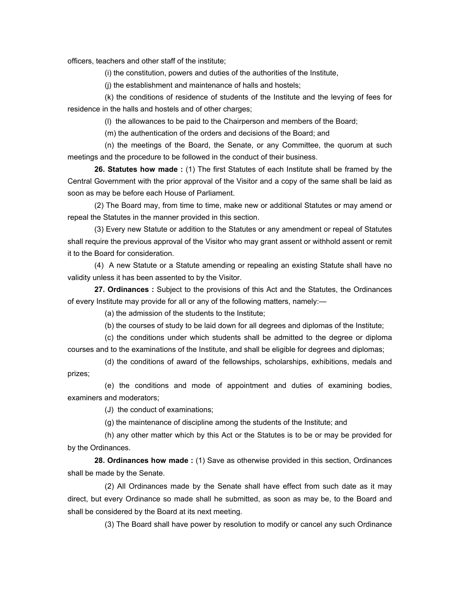officers, teachers and other staff of the institute;

(i) the constitution, powers and duties of the authorities of the Institute,

(j) the establishment and maintenance of halls and hostels;

 (k) the conditions of residence of students of the Institute and the levying of fees for residence in the halls and hostels and of other charges;

(l) the allowances to be paid to the Chairperson and members of the Board;

(m) the authentication of the orders and decisions of the Board; and

 (n) the meetings of the Board, the Senate, or any Committee, the quorum at such meetings and the procedure to be followed in the conduct of their business.

 **26. Statutes how made :** (1) The first Statutes of each Institute shall be framed by the Central Government with the prior approval of the Visitor and a copy of the same shall be laid as soon as may be before each House of Parliament.

 (2) The Board may, from time to time, make new or additional Statutes or may amend or repeal the Statutes in the manner provided in this section.

 (3) Every new Statute or addition to the Statutes or any amendment or repeal of Statutes shall require the previous approval of the Visitor who may grant assent or withhold assent or remit it to the Board for consideration.

 (4) A new Statute or a Statute amending or repealing an existing Statute shall have no validity unless it has been assented to by the Visitor.

 **27. Ordinances :** Subject to the provisions of this Act and the Statutes, the Ordinances of every Institute may provide for all or any of the following matters, namely:—

(a) the admission of the students to the Institute;

(b) the courses of study to be laid down for all degrees and diplomas of the Institute;

 (c) the conditions under which students shall be admitted to the degree or diploma courses and to the examinations of the Institute, and shall be eligible for degrees and diplomas;

 (d) the conditions of award of the fellowships, scholarships, exhibitions, medals and prizes;

 (e) the conditions and mode of appointment and duties of examining bodies, examiners and moderators;

(J) the conduct of examinations;

(g) the maintenance of discipline among the students of the Institute; and

 (h) any other matter which by this Act or the Statutes is to be or may be provided for by the Ordinances.

 **28. Ordinances how made :** (1) Save as otherwise provided in this section, Ordinances shall be made by the Senate.

 (2) All Ordinances made by the Senate shall have effect from such date as it may direct, but every Ordinance so made shall he submitted, as soon as may be, to the Board and shall be considered by the Board at its next meeting.

(3) The Board shall have power by resolution to modify or cancel any such Ordinance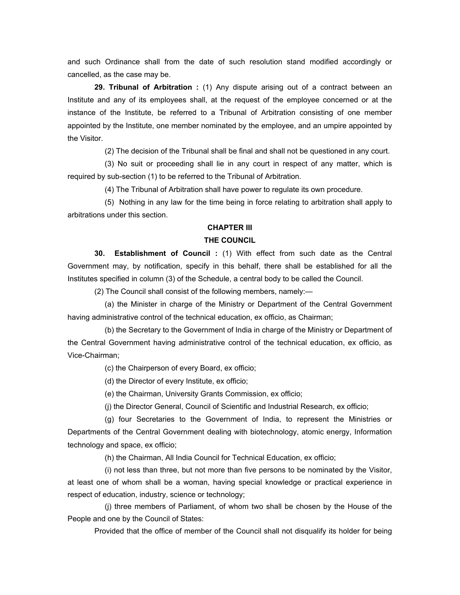and such Ordinance shall from the date of such resolution stand modified accordingly or cancelled, as the case may be.

 **29. Tribunal of Arbitration :** (1) Any dispute arising out of a contract between an Institute and any of its employees shall, at the request of the employee concerned or at the instance of the Institute, be referred to a Tribunal of Arbitration consisting of one member appointed by the Institute, one member nominated by the employee, and an umpire appointed by the Visitor.

(2) The decision of the Tribunal shall be final and shall not be questioned in any court.

 (3) No suit or proceeding shall lie in any court in respect of any matter, which is required by sub-section (1) to be referred to the Tribunal of Arbitration.

(4) The Tribunal of Arbitration shall have power to regulate its own procedure.

 (5) Nothing in any law for the time being in force relating to arbitration shall apply to arbitrations under this section.

## **CHAPTER III**

### **THE COUNCIL**

 **30. Establishment of Council :** (1) With effect from such date as the Central Government may, by notification, specify in this behalf, there shall be established for all the Institutes specified in column (3) of the Schedule, a central body to be called the Council.

(2) The Council shall consist of the following members, namely:—

 (a) the Minister in charge of the Ministry or Department of the Central Government having administrative control of the technical education, ex officio, as Chairman;

 (b) the Secretary to the Government of India in charge of the Ministry or Department of the Central Government having administrative control of the technical education, ex officio, as Vice-Chairman;

(c) the Chairperson of every Board, ex officio;

(d) the Director of every Institute, ex officio;

(e) the Chairman, University Grants Commission, ex officio;

(j) the Director General, Council of Scientific and Industrial Research, ex officio;

 (g) four Secretaries to the Government of India, to represent the Ministries or Departments of the Central Government dealing with biotechnology, atomic energy, Information technology and space, ex officio;

(h) the Chairman, All India Council for Technical Education, ex officio;

 (i) not less than three, but not more than five persons to be nominated by the Visitor, at least one of whom shall be a woman, having special knowledge or practical experience in respect of education, industry, science or technology;

 (j) three members of Parliament, of whom two shall be chosen by the House of the People and one by the Council of States:

Provided that the office of member of the Council shall not disqualify its holder for being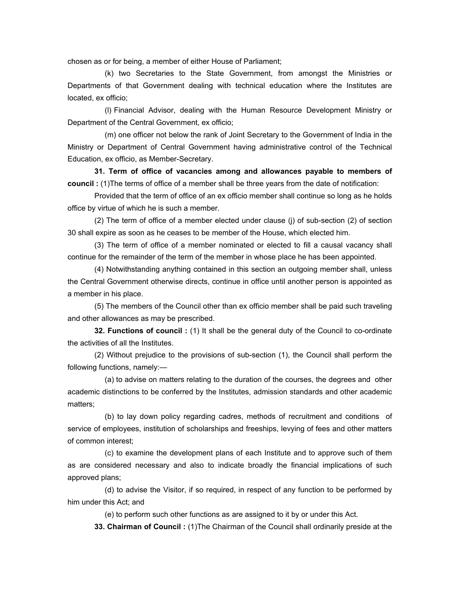chosen as or for being, a member of either House of Parliament;

 (k) two Secretaries to the State Government, from amongst the Ministries or Departments of that Government dealing with technical education where the Institutes are located, ex officio;

 (l) Financial Advisor, dealing with the Human Resource Development Ministry or Department of the Central Government, ex officio;

 (m) one officer not below the rank of Joint Secretary to the Government of India in the Ministry or Department of Central Government having administrative control of the Technical Education, ex officio, as Member-Secretary.

 **31. Term of office of vacancies among and allowances payable to members of council :** (1)The terms of office of a member shall be three years from the date of notification:

 Provided that the term of office of an ex officio member shall continue so long as he holds office by virtue of which he is such a member.

 (2) The term of office of a member elected under clause (j) of sub-section (2) of section 30 shall expire as soon as he ceases to be member of the House, which elected him.

 (3) The term of office of a member nominated or elected to fill a causal vacancy shall continue for the remainder of the term of the member in whose place he has been appointed.

 (4) Notwithstanding anything contained in this section an outgoing member shall, unless the Central Government otherwise directs, continue in office until another person is appointed as a member in his place.

 (5) The members of the Council other than ex officio member shall be paid such traveling and other allowances as may be prescribed.

 **32. Functions of council :** (1) It shall be the general duty of the Council to co-ordinate the activities of all the Institutes.

 (2) Without prejudice to the provisions of sub-section (1), the Council shall perform the following functions, namely:—

 (a) to advise on matters relating to the duration of the courses, the degrees and other academic distinctions to be conferred by the Institutes, admission standards and other academic matters;

 (b) to lay down policy regarding cadres, methods of recruitment and conditions of service of employees, institution of scholarships and freeships, levying of fees and other matters of common interest;

 (c) to examine the development plans of each Institute and to approve such of them as are considered necessary and also to indicate broadly the financial implications of such approved plans;

 (d) to advise the Visitor, if so required, in respect of any function to be performed by him under this Act; and

(e) to perform such other functions as are assigned to it by or under this Act.

 **33. Chairman of Council :** (1)The Chairman of the Council shall ordinarily preside at the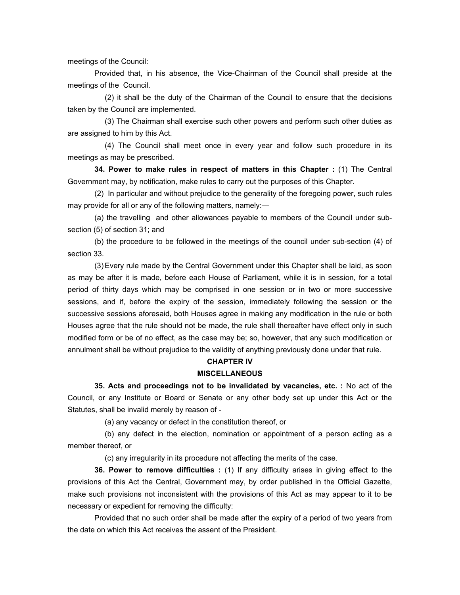meetings of the Council:

 Provided that, in his absence, the Vice-Chairman of the Council shall preside at the meetings of the Council.

 (2) it shall be the duty of the Chairman of the Council to ensure that the decisions taken by the Council are implemented.

 (3) The Chairman shall exercise such other powers and perform such other duties as are assigned to him by this Act.

 (4) The Council shall meet once in every year and follow such procedure in its meetings as may be prescribed.

 **34. Power to make rules in respect of matters in this Chapter :** (1) The Central Government may, by notification, make rules to carry out the purposes of this Chapter.

 (2) In particular and without prejudice to the generality of the foregoing power, such rules may provide for all or any of the following matters, namely:—

 (a) the travelling and other allowances payable to members of the Council under subsection (5) of section 31; and

 (b) the procedure to be followed in the meetings of the council under sub-section (4) of section 33.

 (3) Every rule made by the Central Government under this Chapter shall be laid, as soon as may be after it is made, before each House of Parliament, while it is in session, for a total period of thirty days which may be comprised in one session or in two or more successive sessions, and if, before the expiry of the session, immediately following the session or the successive sessions aforesaid, both Houses agree in making any modification in the rule or both Houses agree that the rule should not be made, the rule shall thereafter have effect only in such modified form or be of no effect, as the case may be; so, however, that any such modification or annulment shall be without prejudice to the validity of anything previously done under that rule.

## **CHAPTER IV MISCELLANEOUS**

 **35. Acts and proceedings not to be invalidated by vacancies, etc. :** No act of the Council, or any Institute or Board or Senate or any other body set up under this Act or the Statutes, shall be invalid merely by reason of -

(a) any vacancy or defect in the constitution thereof, or

 (b) any defect in the election, nomination or appointment of a person acting as a member thereof, or

(c) any irregularity in its procedure not affecting the merits of the case.

 **36. Power to remove difficulties :** (1) If any difficulty arises in giving effect to the provisions of this Act the Central, Government may, by order published in the Official Gazette, make such provisions not inconsistent with the provisions of this Act as may appear to it to be necessary or expedient for removing the difficulty:

 Provided that no such order shall be made after the expiry of a period of two years from the date on which this Act receives the assent of the President.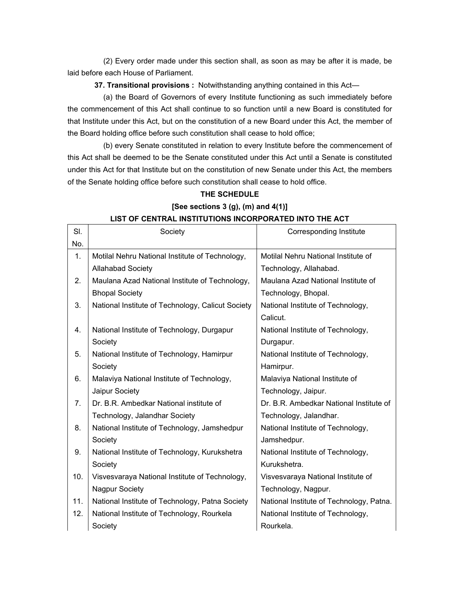(2) Every order made under this section shall, as soon as may be after it is made, be laid before each House of Parliament.

 **37. Transitional provisions :** Notwithstanding anything contained in this Act—

 (a) the Board of Governors of every Institute functioning as such immediately before the commencement of this Act shall continue to so function until a new Board is constituted for that Institute under this Act, but on the constitution of a new Board under this Act, the member of the Board holding office before such constitution shall cease to hold office;

 (b) every Senate constituted in relation to every Institute before the commencement of this Act shall be deemed to be the Senate constituted under this Act until a Senate is constituted under this Act for that Institute but on the constitution of new Senate under this Act, the members of the Senate holding office before such constitution shall cease to hold office.

|     | LIST OF CENTRAL INSTITUTIONS INCORPORATED INTO THE ACT |                                          |  |  |
|-----|--------------------------------------------------------|------------------------------------------|--|--|
| SI. | Society                                                | Corresponding Institute                  |  |  |
| No. |                                                        |                                          |  |  |
| 1.  | Motilal Nehru National Institute of Technology,        | Motilal Nehru National Institute of      |  |  |
|     | <b>Allahabad Society</b>                               | Technology, Allahabad.                   |  |  |
| 2.  | Maulana Azad National Institute of Technology,         | Maulana Azad National Institute of       |  |  |
|     | <b>Bhopal Society</b>                                  | Technology, Bhopal.                      |  |  |
| 3.  | National Institute of Technology, Calicut Society      | National Institute of Technology,        |  |  |
|     |                                                        | Calicut.                                 |  |  |
| 4.  | National Institute of Technology, Durgapur             | National Institute of Technology,        |  |  |
|     | Society                                                | Durgapur.                                |  |  |
| 5.  | National Institute of Technology, Hamirpur             | National Institute of Technology,        |  |  |
|     | Society                                                | Hamirpur.                                |  |  |
| 6.  | Malaviya National Institute of Technology,             | Malaviya National Institute of           |  |  |
|     | Jaipur Society                                         | Technology, Jaipur.                      |  |  |
| 7.  | Dr. B.R. Ambedkar National institute of                | Dr. B.R. Ambedkar National Institute of  |  |  |
|     | Technology, Jalandhar Society                          | Technology, Jalandhar.                   |  |  |
| 8.  | National Institute of Technology, Jamshedpur           | National Institute of Technology,        |  |  |
|     | Society                                                | Jamshedpur.                              |  |  |
| 9.  | National Institute of Technology, Kurukshetra          | National Institute of Technology,        |  |  |
|     | Society                                                | Kurukshetra.                             |  |  |
| 10. | Visvesvaraya National Institute of Technology,         | Visvesvaraya National Institute of       |  |  |
|     | <b>Nagpur Society</b>                                  | Technology, Nagpur.                      |  |  |
| 11. | National Institute of Technology, Patna Society        | National Institute of Technology, Patna. |  |  |
| 12. | National Institute of Technology, Rourkela             | National Institute of Technology,        |  |  |
|     | Society                                                | Rourkela.                                |  |  |

# **THE SCHEDULE [See sections 3 (g), (m) and 4(1)] LIST OF CENTRAL INSTITUTIONS INCORPORATED INTO THE ACT**